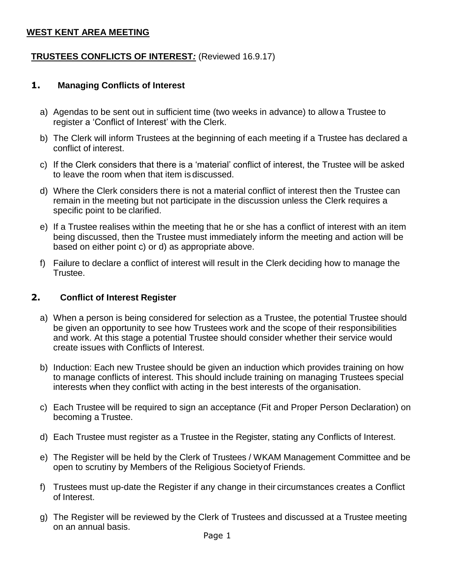# **WEST KENT AREA MEETING**

# **TRUSTEES CONFLICTS OF INTEREST***:* (Reviewed 16.9.17)

# **1. Managing Conflicts of Interest**

- a) Agendas to be sent out in sufficient time (two weeks in advance) to allow a Trustee to register a 'Conflict of Interest' with the Clerk.
- b) The Clerk will inform Trustees at the beginning of each meeting if a Trustee has declared a conflict of interest.
- c) If the Clerk considers that there is a 'material' conflict of interest, the Trustee will be asked to leave the room when that item is discussed.
- d) Where the Clerk considers there is not a material conflict of interest then the Trustee can remain in the meeting but not participate in the discussion unless the Clerk requires a specific point to be clarified.
- e) If a Trustee realises within the meeting that he or she has a conflict of interest with an item being discussed, then the Trustee must immediately inform the meeting and action will be based on either point c) or d) as appropriate above.
- f) Failure to declare a conflict of interest will result in the Clerk deciding how to manage the Trustee.

#### **2. Conflict of Interest Register**

- a) When a person is being considered for selection as a Trustee, the potential Trustee should be given an opportunity to see how Trustees work and the scope of their responsibilities and work. At this stage a potential Trustee should consider whether their service would create issues with Conflicts of Interest.
- b) Induction: Each new Trustee should be given an induction which provides training on how to manage conflicts of interest. This should include training on managing Trustees special interests when they conflict with acting in the best interests of the organisation.
- c) Each Trustee will be required to sign an acceptance (Fit and Proper Person Declaration) on becoming a Trustee.
- d) Each Trustee must register as a Trustee in the Register, stating any Conflicts of Interest.
- e) The Register will be held by the Clerk of Trustees / WKAM Management Committee and be open to scrutiny by Members of the Religious Societyof Friends.
- f) Trustees must up-date the Register if any change in their circumstances creates a Conflict of Interest.
- g) The Register will be reviewed by the Clerk of Trustees and discussed at a Trustee meeting on an annual basis.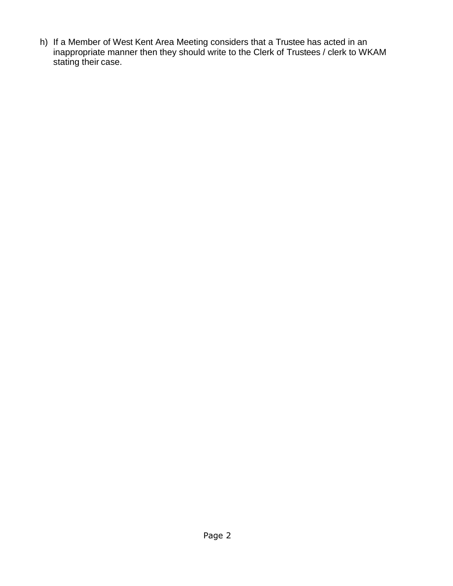h) If a Member of West Kent Area Meeting considers that a Trustee has acted in an inappropriate manner then they should write to the Clerk of Trustees / clerk to WKAM stating their case.